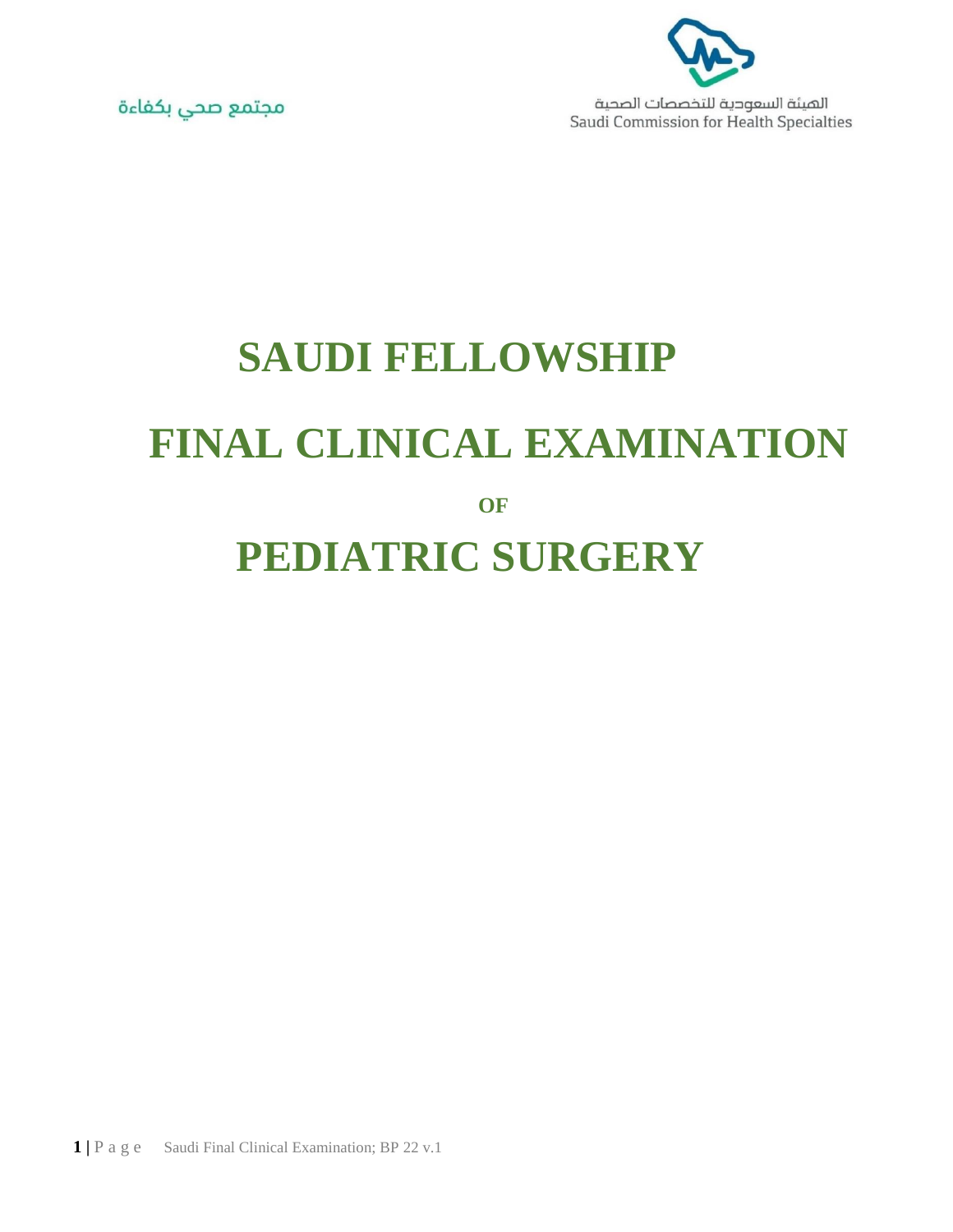

الهيئة السعودية للتخصصات الصحية Saudi Commission for Health Specialties



## **SAUDI FELLOWSHIP FINAL CLINICAL EXAMINATION OF PEDIATRIC SURGERY**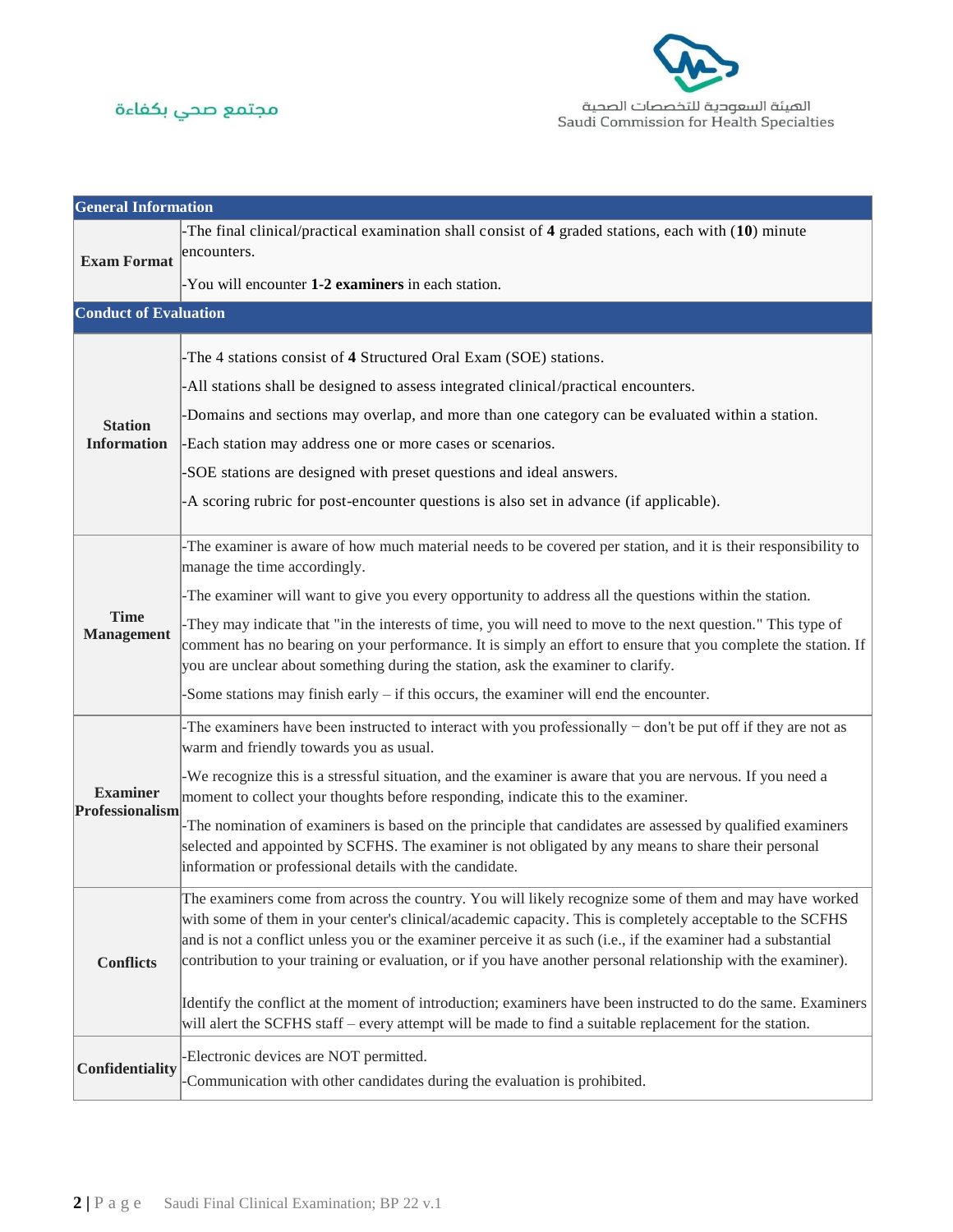



| <b>General Information</b>           |                                                                                                                                                                                                                                                                                                                                                                                                                                                                                                                                                                                                                                                                                   |  |  |  |  |
|--------------------------------------|-----------------------------------------------------------------------------------------------------------------------------------------------------------------------------------------------------------------------------------------------------------------------------------------------------------------------------------------------------------------------------------------------------------------------------------------------------------------------------------------------------------------------------------------------------------------------------------------------------------------------------------------------------------------------------------|--|--|--|--|
| <b>Exam Format</b>                   | -The final clinical/practical examination shall consist of 4 graded stations, each with $(10)$ minute<br>encounters.                                                                                                                                                                                                                                                                                                                                                                                                                                                                                                                                                              |  |  |  |  |
|                                      | -You will encounter 1-2 examiners in each station.                                                                                                                                                                                                                                                                                                                                                                                                                                                                                                                                                                                                                                |  |  |  |  |
| <b>Conduct of Evaluation</b>         |                                                                                                                                                                                                                                                                                                                                                                                                                                                                                                                                                                                                                                                                                   |  |  |  |  |
| <b>Station</b><br><b>Information</b> | -The 4 stations consist of 4 Structured Oral Exam (SOE) stations.<br>-All stations shall be designed to assess integrated clinical/practical encounters.<br>-Domains and sections may overlap, and more than one category can be evaluated within a station.<br>Each station may address one or more cases or scenarios.<br>-SOE stations are designed with preset questions and ideal answers.<br>-A scoring rubric for post-encounter questions is also set in advance (if applicable).                                                                                                                                                                                         |  |  |  |  |
| <b>Time</b><br><b>Management</b>     | -The examiner is aware of how much material needs to be covered per station, and it is their responsibility to<br>manage the time accordingly.<br>-The examiner will want to give you every opportunity to address all the questions within the station.<br>-They may indicate that "in the interests of time, you will need to move to the next question." This type of<br>comment has no bearing on your performance. It is simply an effort to ensure that you complete the station. If<br>you are unclear about something during the station, ask the examiner to clarify.<br>Some stations may finish early $-$ if this occurs, the examiner will end the encounter.         |  |  |  |  |
| <b>Examiner</b><br>Professionalism   | -The examiners have been instructed to interact with you professionally $-$ don't be put off if they are not as<br>warm and friendly towards you as usual.<br>-We recognize this is a stressful situation, and the examiner is aware that you are nervous. If you need a<br>moment to collect your thoughts before responding, indicate this to the examiner.<br>-The nomination of examiners is based on the principle that candidates are assessed by qualified examiners<br>selected and appointed by SCFHS. The examiner is not obligated by any means to share their personal<br>information or professional details with the candidate.                                     |  |  |  |  |
| <b>Conflicts</b>                     | The examiners come from across the country. You will likely recognize some of them and may have worked<br>with some of them in your center's clinical/academic capacity. This is completely acceptable to the SCFHS<br>and is not a conflict unless you or the examiner perceive it as such (i.e., if the examiner had a substantial<br>contribution to your training or evaluation, or if you have another personal relationship with the examiner).<br>Identify the conflict at the moment of introduction; examiners have been instructed to do the same. Examiners<br>will alert the SCFHS staff – every attempt will be made to find a suitable replacement for the station. |  |  |  |  |
| Confidentiality                      | -Electronic devices are NOT permitted.<br>Communication with other candidates during the evaluation is prohibited.                                                                                                                                                                                                                                                                                                                                                                                                                                                                                                                                                                |  |  |  |  |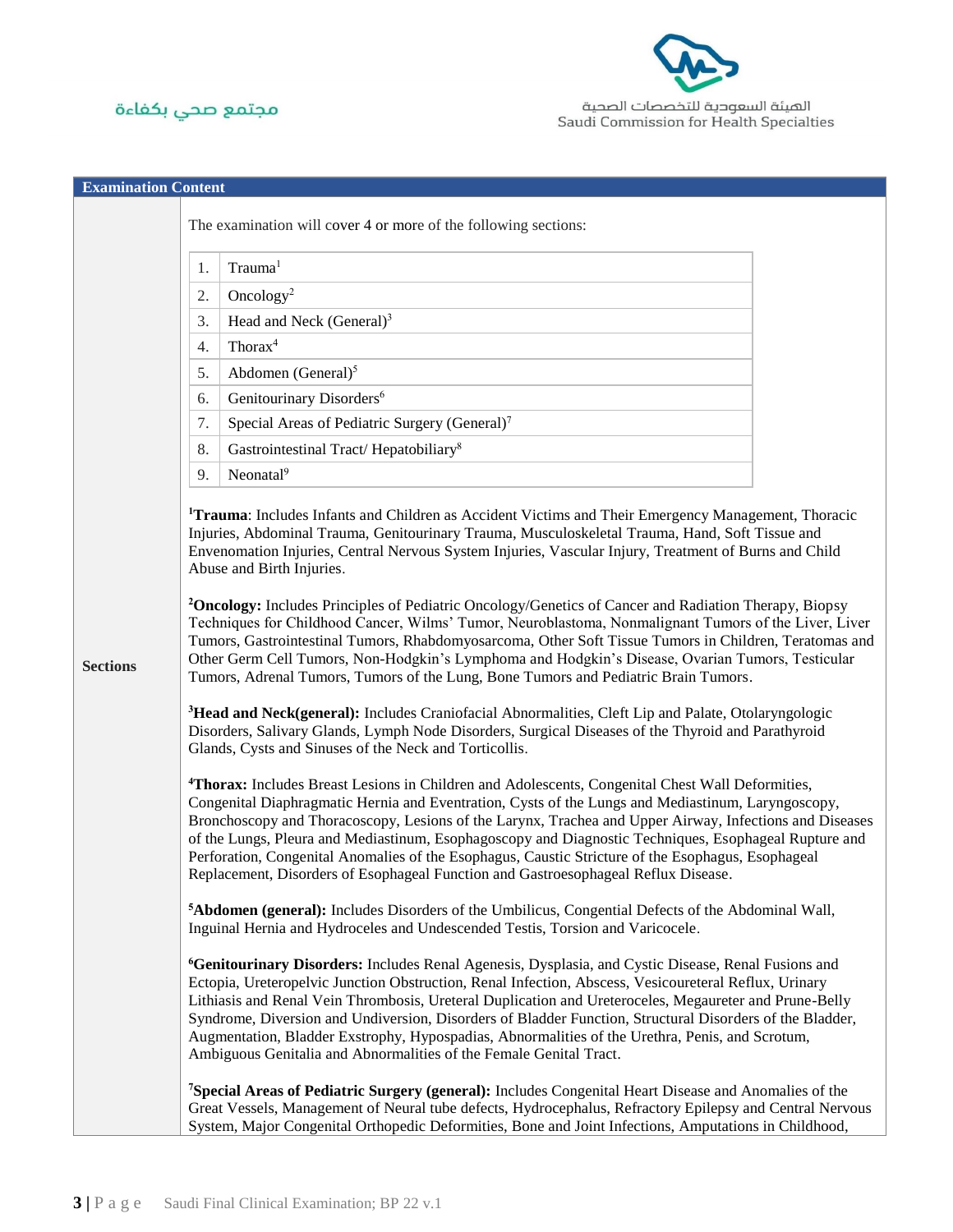



| <b>Examination Content</b> |                                                                                                                                                                                                                                                                                                                                                                                                                                                                                                                                                                                                                                    |                                                                                                                                                                                                                                                                                                                                        |  |  |  |  |
|----------------------------|------------------------------------------------------------------------------------------------------------------------------------------------------------------------------------------------------------------------------------------------------------------------------------------------------------------------------------------------------------------------------------------------------------------------------------------------------------------------------------------------------------------------------------------------------------------------------------------------------------------------------------|----------------------------------------------------------------------------------------------------------------------------------------------------------------------------------------------------------------------------------------------------------------------------------------------------------------------------------------|--|--|--|--|
|                            |                                                                                                                                                                                                                                                                                                                                                                                                                                                                                                                                                                                                                                    | The examination will cover 4 or more of the following sections:                                                                                                                                                                                                                                                                        |  |  |  |  |
|                            | 1.                                                                                                                                                                                                                                                                                                                                                                                                                                                                                                                                                                                                                                 | Trauma <sup>1</sup>                                                                                                                                                                                                                                                                                                                    |  |  |  |  |
|                            | 2.                                                                                                                                                                                                                                                                                                                                                                                                                                                                                                                                                                                                                                 | Oncology <sup>2</sup>                                                                                                                                                                                                                                                                                                                  |  |  |  |  |
|                            | 3.                                                                                                                                                                                                                                                                                                                                                                                                                                                                                                                                                                                                                                 | Head and Neck (General) <sup>3</sup>                                                                                                                                                                                                                                                                                                   |  |  |  |  |
|                            | 4.                                                                                                                                                                                                                                                                                                                                                                                                                                                                                                                                                                                                                                 | Thorax <sup>4</sup>                                                                                                                                                                                                                                                                                                                    |  |  |  |  |
|                            | 5.                                                                                                                                                                                                                                                                                                                                                                                                                                                                                                                                                                                                                                 | Abdomen (General) <sup>5</sup>                                                                                                                                                                                                                                                                                                         |  |  |  |  |
|                            | 6.                                                                                                                                                                                                                                                                                                                                                                                                                                                                                                                                                                                                                                 | Genitourinary Disorders <sup>6</sup>                                                                                                                                                                                                                                                                                                   |  |  |  |  |
|                            | 7.                                                                                                                                                                                                                                                                                                                                                                                                                                                                                                                                                                                                                                 | Special Areas of Pediatric Surgery (General) <sup>7</sup>                                                                                                                                                                                                                                                                              |  |  |  |  |
|                            | 8.                                                                                                                                                                                                                                                                                                                                                                                                                                                                                                                                                                                                                                 | Gastrointestinal Tract/Hepatobiliary <sup>8</sup>                                                                                                                                                                                                                                                                                      |  |  |  |  |
|                            | 9.                                                                                                                                                                                                                                                                                                                                                                                                                                                                                                                                                                                                                                 | Neonatal <sup>9</sup>                                                                                                                                                                                                                                                                                                                  |  |  |  |  |
| <b>Sections</b>            | <sup>1</sup> Trauma: Includes Infants and Children as Accident Victims and Their Emergency Management, Thoracic<br>Injuries, Abdominal Trauma, Genitourinary Trauma, Musculoskeletal Trauma, Hand, Soft Tissue and<br>Envenomation Injuries, Central Nervous System Injuries, Vascular Injury, Treatment of Burns and Child<br>Abuse and Birth Injuries.                                                                                                                                                                                                                                                                           |                                                                                                                                                                                                                                                                                                                                        |  |  |  |  |
|                            | <sup>2</sup> Oncology: Includes Principles of Pediatric Oncology/Genetics of Cancer and Radiation Therapy, Biopsy<br>Techniques for Childhood Cancer, Wilms' Tumor, Neuroblastoma, Nonmalignant Tumors of the Liver, Liver<br>Tumors, Gastrointestinal Tumors, Rhabdomyosarcoma, Other Soft Tissue Tumors in Children, Teratomas and<br>Other Germ Cell Tumors, Non-Hodgkin's Lymphoma and Hodgkin's Disease, Ovarian Tumors, Testicular<br>Tumors, Adrenal Tumors, Tumors of the Lung, Bone Tumors and Pediatric Brain Tumors.                                                                                                    |                                                                                                                                                                                                                                                                                                                                        |  |  |  |  |
|                            | <sup>3</sup> Head and Neck(general): Includes Craniofacial Abnormalities, Cleft Lip and Palate, Otolaryngologic<br>Disorders, Salivary Glands, Lymph Node Disorders, Surgical Diseases of the Thyroid and Parathyroid<br>Glands, Cysts and Sinuses of the Neck and Torticollis.                                                                                                                                                                                                                                                                                                                                                    |                                                                                                                                                                                                                                                                                                                                        |  |  |  |  |
|                            | <sup>4</sup> Thorax: Includes Breast Lesions in Children and Adolescents, Congenital Chest Wall Deformities,<br>Congenital Diaphragmatic Hernia and Eventration, Cysts of the Lungs and Mediastinum, Laryngoscopy,<br>Bronchoscopy and Thoracoscopy, Lesions of the Larynx, Trachea and Upper Airway, Infections and Diseases<br>of the Lungs, Pleura and Mediastinum, Esophagoscopy and Diagnostic Techniques, Esophageal Rupture and<br>Perforation, Congenital Anomalies of the Esophagus, Caustic Stricture of the Esophagus, Esophageal<br>Replacement, Disorders of Esophageal Function and Gastroesophageal Reflux Disease. |                                                                                                                                                                                                                                                                                                                                        |  |  |  |  |
|                            | <sup>5</sup> Abdomen (general): Includes Disorders of the Umbilicus, Congential Defects of the Abdominal Wall,<br>Inguinal Hernia and Hydroceles and Undescended Testis, Torsion and Varicocele.                                                                                                                                                                                                                                                                                                                                                                                                                                   |                                                                                                                                                                                                                                                                                                                                        |  |  |  |  |
|                            | <sup>6</sup> Genitourinary Disorders: Includes Renal Agenesis, Dysplasia, and Cystic Disease, Renal Fusions and<br>Ectopia, Ureteropelvic Junction Obstruction, Renal Infection, Abscess, Vesicoureteral Reflux, Urinary<br>Lithiasis and Renal Vein Thrombosis, Ureteral Duplication and Ureteroceles, Megaureter and Prune-Belly<br>Syndrome, Diversion and Undiversion, Disorders of Bladder Function, Structural Disorders of the Bladder,<br>Augmentation, Bladder Exstrophy, Hypospadias, Abnormalities of the Urethra, Penis, and Scrotum,<br>Ambiguous Genitalia and Abnormalities of the Female Genital Tract.            |                                                                                                                                                                                                                                                                                                                                        |  |  |  |  |
|                            |                                                                                                                                                                                                                                                                                                                                                                                                                                                                                                                                                                                                                                    | <sup>7</sup> Special Areas of Pediatric Surgery (general): Includes Congenital Heart Disease and Anomalies of the<br>Great Vessels, Management of Neural tube defects, Hydrocephalus, Refractory Epilepsy and Central Nervous<br>System, Major Congenital Orthopedic Deformities, Bone and Joint Infections, Amputations in Childhood, |  |  |  |  |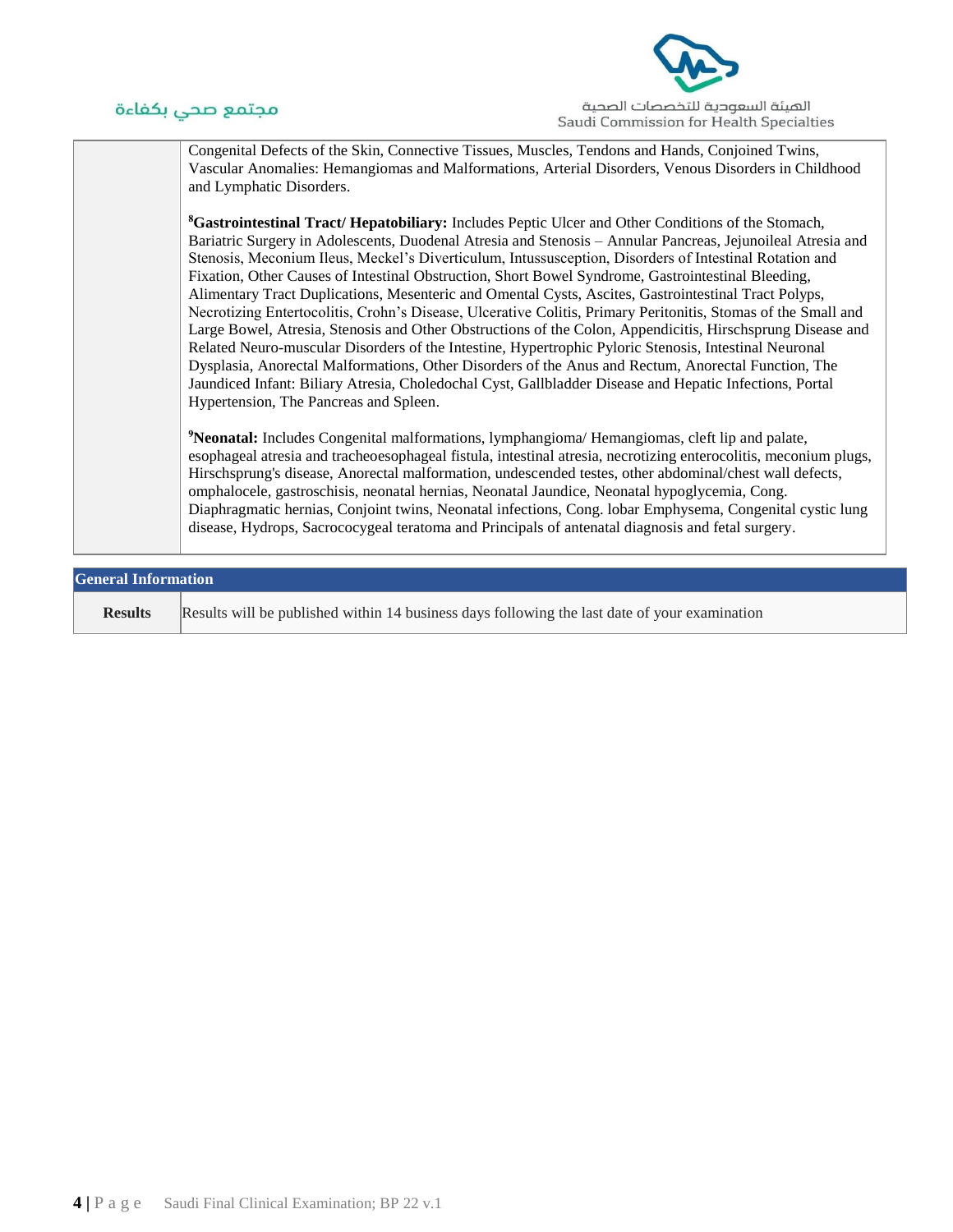



Congenital Defects of the Skin, Connective Tissues, Muscles, Tendons and Hands, Conjoined Twins, Vascular Anomalies: Hemangiomas and Malformations, Arterial Disorders, Venous Disorders in Childhood and Lymphatic Disorders.

**<sup>8</sup>Gastrointestinal Tract/ Hepatobiliary:** Includes Peptic Ulcer and Other Conditions of the Stomach, Bariatric Surgery in Adolescents, Duodenal Atresia and Stenosis – Annular Pancreas, Jejunoileal Atresia and Stenosis, Meconium Ileus, Meckel's Diverticulum, Intussusception, Disorders of Intestinal Rotation and Fixation, Other Causes of Intestinal Obstruction, Short Bowel Syndrome, Gastrointestinal Bleeding, Alimentary Tract Duplications, Mesenteric and Omental Cysts, Ascites, Gastrointestinal Tract Polyps, Necrotizing Entertocolitis, Crohn's Disease, Ulcerative Colitis, Primary Peritonitis, Stomas of the Small and Large Bowel, Atresia, Stenosis and Other Obstructions of the Colon, Appendicitis, Hirschsprung Disease and Related Neuro-muscular Disorders of the Intestine, Hypertrophic Pyloric Stenosis, Intestinal Neuronal Dysplasia, Anorectal Malformations, Other Disorders of the Anus and Rectum, Anorectal Function, The Jaundiced Infant: Biliary Atresia, Choledochal Cyst, Gallbladder Disease and Hepatic Infections, Portal Hypertension, The Pancreas and Spleen.

**<sup>9</sup>Neonatal:** Includes Congenital malformations, lymphangioma/ Hemangiomas, cleft lip and palate, esophageal atresia and tracheoesophageal fistula, intestinal atresia, necrotizing enterocolitis, meconium plugs, Hirschsprung's disease, Anorectal malformation, undescended testes, other abdominal/chest wall defects, omphalocele, gastroschisis, neonatal hernias, Neonatal Jaundice, Neonatal hypoglycemia, Cong. Diaphragmatic hernias, Conjoint twins, Neonatal infections, Cong. lobar Emphysema, Congenital cystic lung disease, Hydrops, Sacrococygeal teratoma and Principals of antenatal diagnosis and fetal surgery.

| <b>General Information</b> |                                                                                               |  |  |
|----------------------------|-----------------------------------------------------------------------------------------------|--|--|
| <b>Results</b>             | Results will be published within 14 business days following the last date of your examination |  |  |